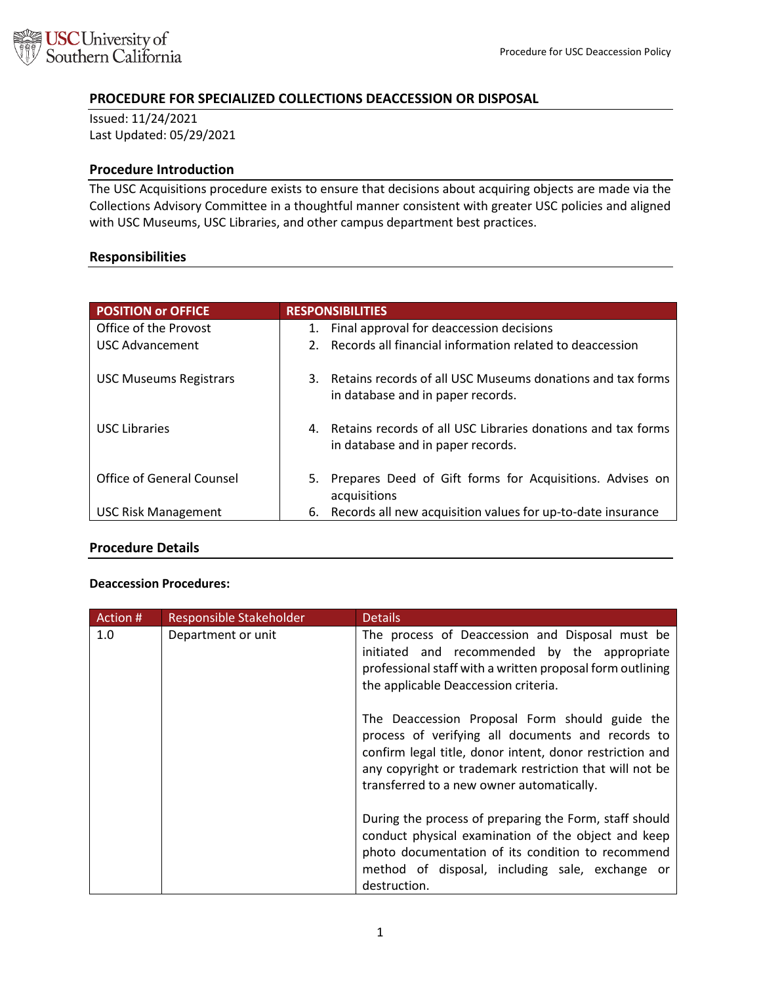

# **PROCEDURE FOR SPECIALIZED COLLECTIONS DEACCESSION OR DISPOSAL**

Issued: 11/24/2021 Last Updated: 05/29/2021

#### **Procedure Introduction**

The USC Acquisitions procedure exists to ensure that decisions about acquiring objects are made via the Collections Advisory Committee in a thoughtful manner consistent with greater USC policies and aligned with USC Museums, USC Libraries, and other campus department best practices.

#### **Responsibilities**

| <b>POSITION or OFFICE</b>     | <b>RESPONSIBILITIES</b>                                                                               |
|-------------------------------|-------------------------------------------------------------------------------------------------------|
| Office of the Provost         | Final approval for deaccession decisions<br>1.                                                        |
| <b>USC Advancement</b>        | Records all financial information related to deaccession<br>2.                                        |
| <b>USC Museums Registrars</b> | Retains records of all USC Museums donations and tax forms<br>3.<br>in database and in paper records. |
| <b>USC Libraries</b>          | 4. Retains records of all USC Libraries donations and tax forms<br>in database and in paper records.  |
| Office of General Counsel     | 5. Prepares Deed of Gift forms for Acquisitions. Advises on<br>acquisitions                           |
| <b>USC Risk Management</b>    | Records all new acquisition values for up-to-date insurance<br>6.                                     |

## **Procedure Details**

#### **Deaccession Procedures:**

| Action # | Responsible Stakeholder | <b>Details</b>                                                                                                                                                                                                                                                          |
|----------|-------------------------|-------------------------------------------------------------------------------------------------------------------------------------------------------------------------------------------------------------------------------------------------------------------------|
| 1.0      | Department or unit      | The process of Deaccession and Disposal must be<br>initiated and recommended by the appropriate<br>professional staff with a written proposal form outlining<br>the applicable Deaccession criteria.                                                                    |
|          |                         | The Deaccession Proposal Form should guide the<br>process of verifying all documents and records to<br>confirm legal title, donor intent, donor restriction and<br>any copyright or trademark restriction that will not be<br>transferred to a new owner automatically. |
|          |                         | During the process of preparing the Form, staff should<br>conduct physical examination of the object and keep<br>photo documentation of its condition to recommend<br>method of disposal, including sale, exchange or<br>destruction.                                   |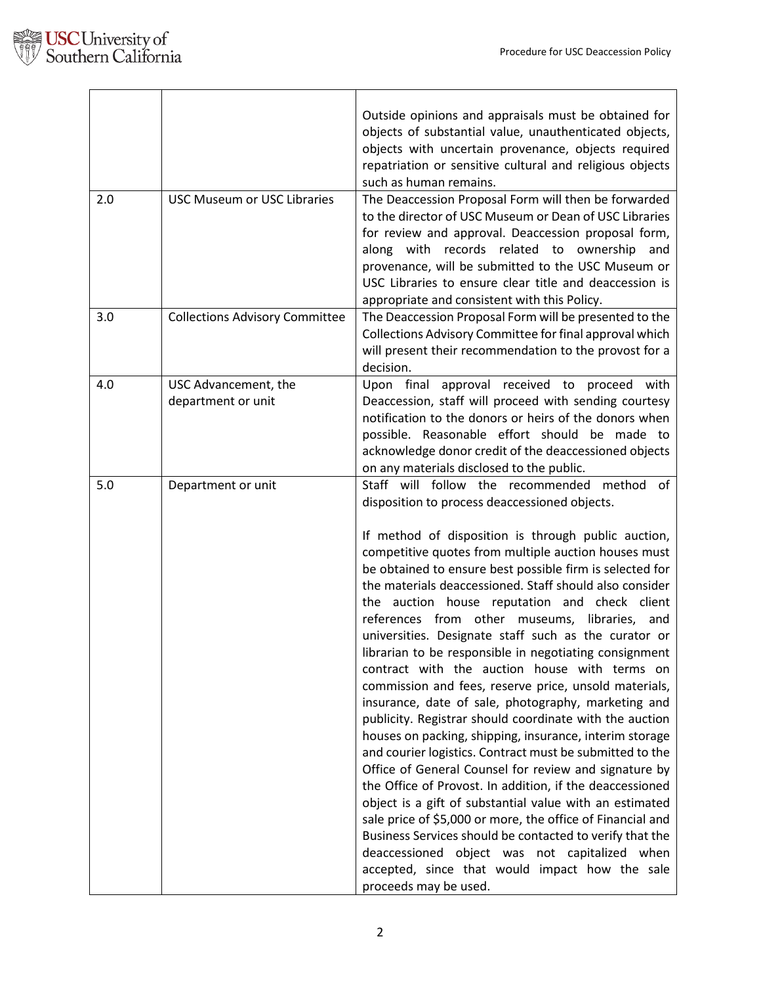

| 2.0 | <b>USC Museum or USC Libraries</b>         | Outside opinions and appraisals must be obtained for<br>objects of substantial value, unauthenticated objects,<br>objects with uncertain provenance, objects required<br>repatriation or sensitive cultural and religious objects<br>such as human remains.<br>The Deaccession Proposal Form will then be forwarded<br>to the director of USC Museum or Dean of USC Libraries<br>for review and approval. Deaccession proposal form,<br>along with records related to ownership<br>and<br>provenance, will be submitted to the USC Museum or<br>USC Libraries to ensure clear title and deaccession is<br>appropriate and consistent with this Policy.                                                                                                                                                                                                                                                                                                                                                                                                                                                                                                                                                                                                                                                                                          |
|-----|--------------------------------------------|-------------------------------------------------------------------------------------------------------------------------------------------------------------------------------------------------------------------------------------------------------------------------------------------------------------------------------------------------------------------------------------------------------------------------------------------------------------------------------------------------------------------------------------------------------------------------------------------------------------------------------------------------------------------------------------------------------------------------------------------------------------------------------------------------------------------------------------------------------------------------------------------------------------------------------------------------------------------------------------------------------------------------------------------------------------------------------------------------------------------------------------------------------------------------------------------------------------------------------------------------------------------------------------------------------------------------------------------------|
| 3.0 | <b>Collections Advisory Committee</b>      | The Deaccession Proposal Form will be presented to the<br>Collections Advisory Committee for final approval which<br>will present their recommendation to the provost for a<br>decision.                                                                                                                                                                                                                                                                                                                                                                                                                                                                                                                                                                                                                                                                                                                                                                                                                                                                                                                                                                                                                                                                                                                                                        |
| 4.0 | USC Advancement, the<br>department or unit | Upon final approval received to proceed with<br>Deaccession, staff will proceed with sending courtesy<br>notification to the donors or heirs of the donors when<br>possible. Reasonable effort should be made to<br>acknowledge donor credit of the deaccessioned objects<br>on any materials disclosed to the public.                                                                                                                                                                                                                                                                                                                                                                                                                                                                                                                                                                                                                                                                                                                                                                                                                                                                                                                                                                                                                          |
| 5.0 | Department or unit                         | Staff will follow the recommended method of<br>disposition to process deaccessioned objects.<br>If method of disposition is through public auction,<br>competitive quotes from multiple auction houses must<br>be obtained to ensure best possible firm is selected for<br>the materials deaccessioned. Staff should also consider<br>the auction house reputation and check client<br>references from other museums, libraries, and<br>universities. Designate staff such as the curator or<br>librarian to be responsible in negotiating consignment<br>contract with the auction house with terms on<br>commission and fees, reserve price, unsold materials,<br>insurance, date of sale, photography, marketing and<br>publicity. Registrar should coordinate with the auction<br>houses on packing, shipping, insurance, interim storage<br>and courier logistics. Contract must be submitted to the<br>Office of General Counsel for review and signature by<br>the Office of Provost. In addition, if the deaccessioned<br>object is a gift of substantial value with an estimated<br>sale price of \$5,000 or more, the office of Financial and<br>Business Services should be contacted to verify that the<br>deaccessioned object was not capitalized when<br>accepted, since that would impact how the sale<br>proceeds may be used. |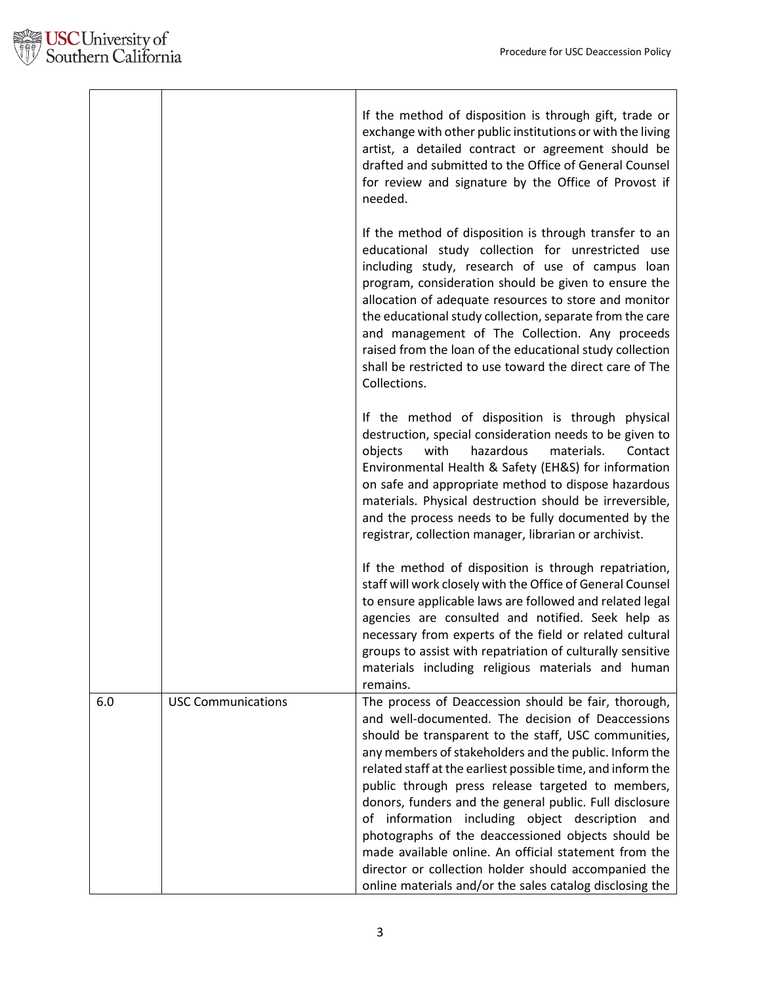|     |                           | If the method of disposition is through gift, trade or<br>exchange with other public institutions or with the living<br>artist, a detailed contract or agreement should be<br>drafted and submitted to the Office of General Counsel<br>for review and signature by the Office of Provost if<br>needed.                                                                                                                                                                                                                                                                                                                                                                                          |
|-----|---------------------------|--------------------------------------------------------------------------------------------------------------------------------------------------------------------------------------------------------------------------------------------------------------------------------------------------------------------------------------------------------------------------------------------------------------------------------------------------------------------------------------------------------------------------------------------------------------------------------------------------------------------------------------------------------------------------------------------------|
|     |                           | If the method of disposition is through transfer to an<br>educational study collection for unrestricted use<br>including study, research of use of campus loan<br>program, consideration should be given to ensure the<br>allocation of adequate resources to store and monitor<br>the educational study collection, separate from the care<br>and management of The Collection. Any proceeds<br>raised from the loan of the educational study collection<br>shall be restricted to use toward the direct care of The<br>Collections.                                                                                                                                                            |
|     |                           | If the method of disposition is through physical<br>destruction, special consideration needs to be given to<br>with<br>hazardous<br>materials.<br>objects<br>Contact<br>Environmental Health & Safety (EH&S) for information<br>on safe and appropriate method to dispose hazardous<br>materials. Physical destruction should be irreversible,<br>and the process needs to be fully documented by the<br>registrar, collection manager, librarian or archivist.                                                                                                                                                                                                                                  |
|     |                           | If the method of disposition is through repatriation,<br>staff will work closely with the Office of General Counsel<br>to ensure applicable laws are followed and related legal<br>agencies are consulted and notified. Seek help as<br>necessary from experts of the field or related cultural<br>groups to assist with repatriation of culturally sensitive<br>materials including religious materials and human<br>remains.                                                                                                                                                                                                                                                                   |
| 6.0 | <b>USC Communications</b> | The process of Deaccession should be fair, thorough,<br>and well-documented. The decision of Deaccessions<br>should be transparent to the staff, USC communities,<br>any members of stakeholders and the public. Inform the<br>related staff at the earliest possible time, and inform the<br>public through press release targeted to members,<br>donors, funders and the general public. Full disclosure<br>of information including object description and<br>photographs of the deaccessioned objects should be<br>made available online. An official statement from the<br>director or collection holder should accompanied the<br>online materials and/or the sales catalog disclosing the |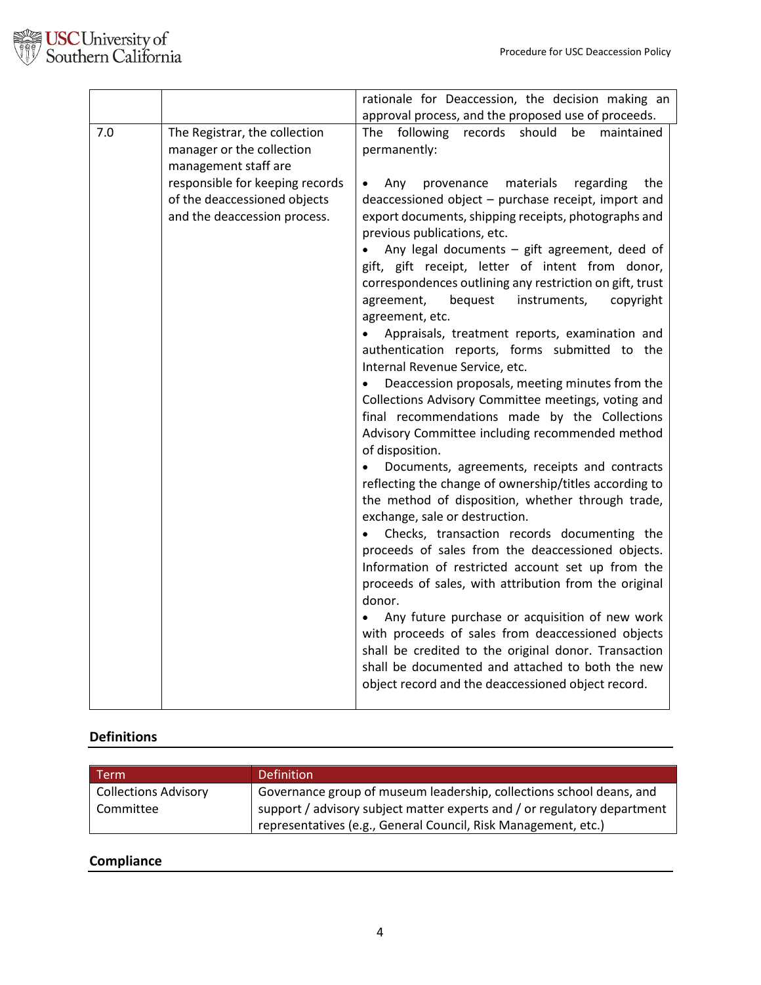

|     |                                                   | rationale for Deaccession, the decision making an                                                    |
|-----|---------------------------------------------------|------------------------------------------------------------------------------------------------------|
|     |                                                   | approval process, and the proposed use of proceeds.                                                  |
| 7.0 | The Registrar, the collection                     | following<br>records should<br>The<br>be<br>maintained                                               |
|     | manager or the collection                         | permanently:                                                                                         |
|     | management staff are                              |                                                                                                      |
|     | responsible for keeping records                   | provenance<br>materials<br>regarding<br>the<br>Any<br>$\bullet$                                      |
|     | of the deaccessioned objects                      | deaccessioned object - purchase receipt, import and                                                  |
|     | and the deaccession process.                      | export documents, shipping receipts, photographs and                                                 |
|     |                                                   | previous publications, etc.                                                                          |
|     |                                                   | Any legal documents $-$ gift agreement, deed of                                                      |
|     |                                                   | gift, gift receipt, letter of intent from donor,                                                     |
|     |                                                   | correspondences outlining any restriction on gift, trust                                             |
|     |                                                   | bequest<br>instruments,<br>agreement,<br>copyright                                                   |
|     |                                                   | agreement, etc.                                                                                      |
|     |                                                   | Appraisals, treatment reports, examination and                                                       |
|     |                                                   | authentication reports, forms submitted to the                                                       |
|     |                                                   | Internal Revenue Service, etc.                                                                       |
|     |                                                   | Deaccession proposals, meeting minutes from the                                                      |
|     |                                                   | Collections Advisory Committee meetings, voting and<br>final recommendations made by the Collections |
|     |                                                   | Advisory Committee including recommended method                                                      |
|     |                                                   | of disposition.                                                                                      |
|     |                                                   | Documents, agreements, receipts and contracts                                                        |
|     |                                                   | reflecting the change of ownership/titles according to                                               |
|     |                                                   | the method of disposition, whether through trade,                                                    |
|     |                                                   | exchange, sale or destruction.                                                                       |
|     | Checks, transaction records documenting the       |                                                                                                      |
|     | proceeds of sales from the deaccessioned objects. |                                                                                                      |
|     | Information of restricted account set up from the |                                                                                                      |
|     |                                                   | proceeds of sales, with attribution from the original                                                |
|     |                                                   | donor.                                                                                               |
|     |                                                   | Any future purchase or acquisition of new work                                                       |
|     |                                                   | with proceeds of sales from deaccessioned objects                                                    |
|     |                                                   | shall be credited to the original donor. Transaction                                                 |
|     |                                                   | shall be documented and attached to both the new                                                     |
|     |                                                   | object record and the deaccessioned object record.                                                   |
|     |                                                   |                                                                                                      |

# **Definitions**

| Term                        | <b>Definition</b>                                                        |
|-----------------------------|--------------------------------------------------------------------------|
| <b>Collections Advisory</b> | Governance group of museum leadership, collections school deans, and     |
| Committee                   | support / advisory subject matter experts and / or regulatory department |
|                             | representatives (e.g., General Council, Risk Management, etc.)           |

# **Compliance**